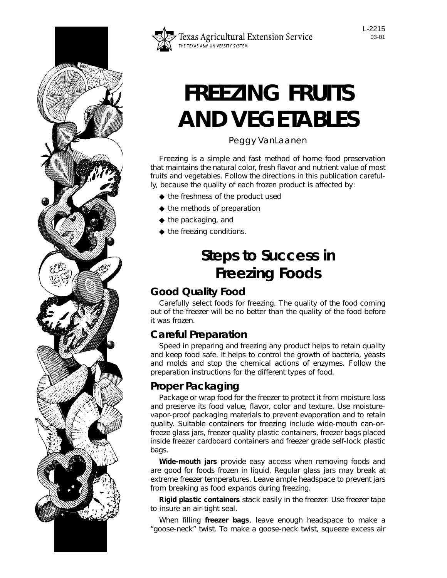



# **FREEZING FRUITS AND VEGETABLES**

Peggy VanLaanen

Freezing is a simple and fast method of home food preservation that maintains the natural color, fresh flavor and nutrient value of most fruits and vegetables. Follow the directions in this publication carefully, because the quality of each frozen product is affected by:

- ◆ the freshness of the product used
- ◆ the methods of preparation
- ◆ the packaging, and
- ◆ the freezing conditions.

# **Steps to Success in Freezing Foods**

### **Good Quality Food**

Carefully select foods for freezing. The quality of the food coming out of the freezer will be no better than the quality of the food before it was frozen.

## **Careful Preparation**

Speed in preparing and freezing any product helps to retain quality and keep food safe. It helps to control the growth of bacteria, yeasts and molds and stop the chemical actions of enzymes. Follow the preparation instructions for the different types of food.

### **Proper Packaging**

Package or wrap food for the freezer to protect it from moisture loss and preserve its food value, flavor, color and texture. Use moisturevapor-proof packaging materials to prevent evaporation and to retain quality. Suitable containers for freezing include wide-mouth can-orfreeze glass jars, freezer quality plastic containers, freezer bags placed inside freezer cardboard containers and freezer grade self-lock plastic bags.

**Wide-mouth jars** provide easy access when removing foods and are good for foods frozen in liquid. Regular glass jars may break at extreme freezer temperatures. Leave ample headspace to prevent jars from breaking as food expands during freezing.

**Rigid plastic containers** stack easily in the freezer. Use freezer tape to insure an air-tight seal.

When filling **freezer bags**, leave enough headspace to make a "goose-neck" twist. To make a goose-neck twist, squeeze excess air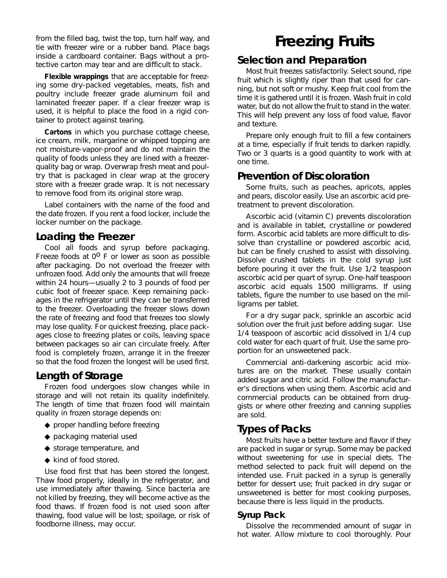from the filled bag, twist the top, turn half way, and tie with freezer wire or a rubber band. Place bags inside a cardboard container. Bags without a protective carton may tear and are difficult to stack.

**Flexible wrappings** that are acceptable for freezing some dry-packed vegetables, meats, fish and poultry include freezer grade aluminum foil and laminated freezer paper. If a clear freezer wrap is used, it is helpful to place the food in a rigid container to protect against tearing.

**Cartons** in which you purchase cottage cheese, ice cream, milk, margarine or whipped topping are not moisture-vapor-proof and do not maintain the quality of foods unless they are lined with a freezerquality bag or wrap. Overwrap fresh meat and poultry that is packaged in clear wrap at the grocery store with a freezer grade wrap. It is not necessary to remove food from its original store wrap.

Label containers with the name of the food and the date frozen. If you rent a food locker, include the locker number on the package.

#### **Loading the Freezer**

Cool all foods and syrup before packaging. Freeze foods at  $0^0$  F or lower as soon as possible after packaging. Do not overload the freezer with unfrozen food. Add only the amounts that will freeze within 24 hours—usually 2 to 3 pounds of food per cubic foot of freezer space. Keep remaining packages in the refrigerator until they can be transferred to the freezer. Overloading the freezer slows down the rate of freezing and food that freezes too slowly may lose quality. For quickest freezing, place packages close to freezing plates or coils, leaving space between packages so air can circulate freely. After food is completely frozen, arrange it in the freezer so that the food frozen the longest will be used first.

#### **Length of Storage**

Frozen food undergoes slow changes while in storage and will not retain its quality indefinitely. The length of time that frozen food will maintain quality in frozen storage depends on:

- ◆ proper handling before freezing
- ◆ packaging material used
- ◆ storage temperature, and
- ◆ kind of food stored.

Use food first that has been stored the longest. Thaw food properly, ideally in the refrigerator, and use immediately after thawing. Since bacteria are not killed by freezing, they will become active as the food thaws. If frozen food is not used soon after thawing, food value will be lost; spoilage, or risk of foodborne illness, may occur.

# **Freezing Fruits**

#### **Selection and Preparation**

Most fruit freezes satisfactorily. Select sound, ripe fruit which is slightly riper than that used for canning, but not soft or mushy. Keep fruit cool from the time it is gathered until it is frozen. Wash fruit in cold water, but do not allow the fruit to stand in the water. This will help prevent any loss of food value, flavor and texture.

Prepare only enough fruit to fill a few containers at a time, especially if fruit tends to darken rapidly. Two or 3 quarts is a good quantity to work with at one time.

#### **Prevention of Discoloration**

Some fruits, such as peaches, apricots, apples and pears, discolor easily. Use an ascorbic acid pretreatment to prevent discoloration.

Ascorbic acid (vitamin C) prevents discoloration and is available in tablet, crystalline or powdered form. Ascorbic acid tablets are more difficult to dissolve than crystalline or powdered ascorbic acid, but can be finely crushed to assist with dissolving. Dissolve crushed tablets in the cold syrup just before pouring it over the fruit. Use 1/2 teaspoon ascorbic acid per quart of syrup. One-half teaspoon ascorbic acid equals 1500 milligrams. If using tablets, figure the number to use based on the milligrams per tablet.

For a dry sugar pack, sprinkle an ascorbic acid solution over the fruit just before adding sugar. Use 1/4 teaspoon of ascorbic acid dissolved in 1/4 cup cold water for each quart of fruit. Use the same proportion for an unsweetened pack.

Commercial anti-darkening ascorbic acid mixtures are on the market. These usually contain added sugar and citric acid. Follow the manufacturer's directions when using them. Ascorbic acid and commercial products can be obtained from druggists or where other freezing and canning supplies are sold.

#### **Types of Packs**

Most fruits have a better texture and flavor if they are packed in sugar or syrup. Some may be packed without sweetening for use in special diets. The method selected to pack fruit will depend on the intended use. Fruit packed in a syrup is generally better for dessert use; fruit packed in dry sugar or unsweetened is better for most cooking purposes, because there is less liquid in the products.

#### **Syrup Pack**

Dissolve the recommended amount of sugar in hot water. Allow mixture to cool thoroughly. Pour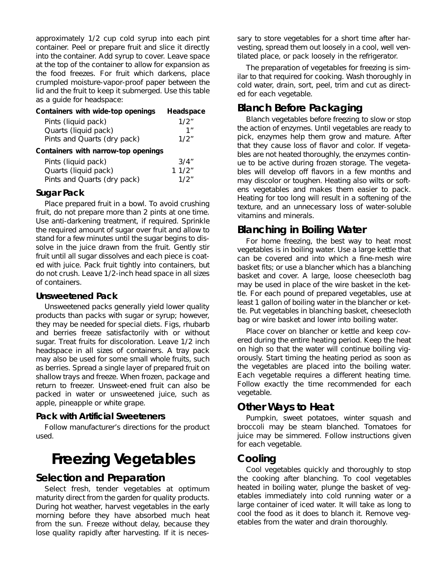approximately 1/2 cup cold syrup into each pint container. Peel or prepare fruit and slice it directly into the container. Add syrup to cover. Leave space at the top of the container to allow for expansion as the food freezes. For fruit which darkens, place crumpled moisture-vapor-proof paper between the lid and the fruit to keep it submerged. Use this table as a guide for headspace:

| Containers with wide-top openings   | Headspace |
|-------------------------------------|-----------|
| Pints (liquid pack)                 | 1/2"      |
| Quarts (liquid pack)                | 1"        |
| Pints and Quarts (dry pack)         | 1/2"      |
| Containers with narrow-top openings |           |
| Pints (liquid pack)                 | 3/4"      |
| Quarts (liquid pack)                | 11/2"     |
| Pints and Quarts (dry pack)         | 1/2"      |

#### **Sugar Pack**

Place prepared fruit in a bowl. To avoid crushing fruit, do not prepare more than 2 pints at one time. Use anti-darkening treatment, if required. Sprinkle the required amount of sugar over fruit and allow to stand for a few minutes until the sugar begins to dissolve in the juice drawn from the fruit. Gently stir fruit until all sugar dissolves and each piece is coated with juice. Pack fruit tightly into containers, but do not crush. Leave 1/2-inch head space in all sizes of containers.

#### **Unsweetened Pack**

Unsweetened packs generally yield lower quality products than packs with sugar or syrup; however, they may be needed for special diets. Figs, rhubarb and berries freeze satisfactorily with or without sugar. Treat fruits for discoloration. Leave 1/2 inch headspace in all sizes of containers. A tray pack may also be used for some small whole fruits, such as berries. Spread a single layer of prepared fruit on shallow trays and freeze. When frozen, package and return to freezer. Unsweet-ened fruit can also be packed in water or unsweetened juice, such as apple, pineapple or white grape.

#### **Pack with Artificial Sweeteners**

Follow manufacturer's directions for the product used.

# **Freezing Vegetables**

#### **Selection and Preparation**

Select fresh, tender vegetables at optimum maturity direct from the garden for quality products. During hot weather, harvest vegetables in the early morning before they have absorbed much heat from the sun. Freeze without delay, because they lose quality rapidly after harvesting. If it is necessary to store vegetables for a short time after harvesting, spread them out loosely in a cool, well ventilated place, or pack loosely in the refrigerator.

The preparation of vegetables for freezing is similar to that required for cooking. Wash thoroughly in cold water, drain, sort, peel, trim and cut as directed for each vegetable.

#### **Blanch Before Packaging**

Blanch vegetables before freezing to slow or stop the action of enzymes. Until vegetables are ready to pick, enzymes help them grow and mature. After that they cause loss of flavor and color. If vegetables are not heated thoroughly, the enzymes continue to be active during frozen storage. The vegetables will develop off flavors in a few months and may discolor or toughen. Heating also wilts or softens vegetables and makes them easier to pack. Heating for too long will result in a softening of the texture, and an unnecessary loss of water-soluble vitamins and minerals.

#### **Blanching in Boiling Water**

For home freezing, the best way to heat most vegetables is in boiling water. Use a large kettle that can be covered and into which a fine-mesh wire basket fits; or use a blancher which has a blanching basket and cover. A large, loose cheesecloth bag may be used in place of the wire basket in the kettle. For each pound of prepared vegetables, use at least 1 gallon of boiling water in the blancher or kettle. Put vegetables in blanching basket, cheesecloth bag or wire basket and lower into boiling water.

Place cover on blancher or kettle and keep covered during the entire heating period. Keep the heat on high so that the water will continue boiling vigorously. Start timing the heating period as soon as the vegetables are placed into the boiling water. Each vegetable requires a different heating time. Follow exactly the time recommended for each vegetable.

#### **Other Ways to Heat**

Pumpkin, sweet potatoes, winter squash and broccoli may be steam blanched. Tomatoes for juice may be simmered. Follow instructions given for each vegetable.

#### **Cooling**

Cool vegetables quickly and thoroughly to stop the cooking after blanching. To cool vegetables heated in boiling water, plunge the basket of vegetables immediately into cold running water or a large container of iced water. It will take as long to cool the food as it does to blanch it. Remove vegetables from the water and drain thoroughly.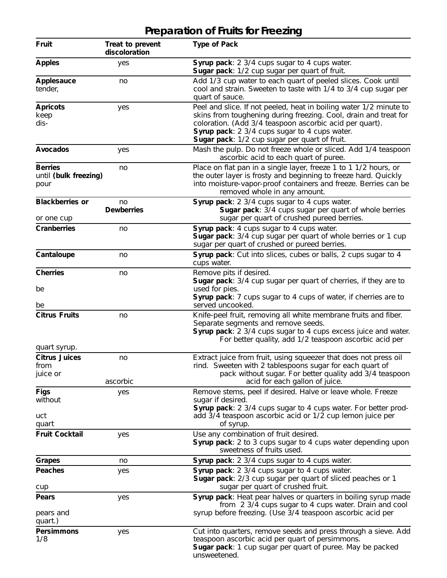#### **Fruit Treat to prevent Type of Pack discoloration Apples** yes **Syrup pack**: 2 3/4 cups sugar to 4 cups water. **Sugar pack**: 1/2 cup sugar per quart of fruit. **Applesauce** no Add 1/3 cup water to each quart of peeled slices. Cook until tender, cool and strain. Sweeten to taste with 1/4 to 3/4 cup sugar per quart of sauce. **Apricots** yes Peel and slice. If not peeled, heat in boiling water 1/2 minute to keep skins from toughening during freezing. Cool, drain and treat for dis- coloration. (Add 3/4 teaspoon ascorbic acid per quart). **Syrup pack**: 2 3/4 cups sugar to 4 cups water. **Sugar pack**: 1/2 cup sugar per quart of fruit. **Avocados** yes Mash the pulp. Do not freeze whole or sliced. Add 1/4 teaspoon ascorbic acid to each quart of puree. **Berries no Place on flat pan in a single layer, freeze 1 to 1 1/2 hours, or** until (bulk freezing) the outer layer is frosty and beginning to freeze hard. Quickly<br>pour the outer layer is frosty and beginning to freeze. Berries can be pour into moisture-vapor-proof containers and freeze. Berries can be removed whole in any amount. **Blackberries or** no **Syrup pack**: 2 3/4 cups sugar to 4 cups water.<br>**Dewberries Sugar pack**: 3/4 cups sugar per quart **Sugar pack:**  $3/4$  cups sugar per quart of whole berries or one cup sugar per quart of crushed pureed berries. **Cranberries come constant in the system of the Syrup pack**: 4 cups sugar to 4 cups water. **Sugar pack**: 3/4 cup sugar per quart of whole berries or 1 cup sugar per quart of crushed or pureed berries. **Cantaloupe cantaloupe no Syrup pack:** Cut into slices, cubes or balls, 2 cups sugar to 4 cups water. **Cherries** no Remove pits if desired. **Sugar pack**: 3/4 cup sugar per quart of cherries, if they are to be used for pies. **Syrup pack**: 7 cups sugar to 4 cups of water, if cherries are to be served uncooked. **Citrus Fruits** no Knife-peel fruit, removing all white membrane fruits and fiber. Separate segments and remove seeds. **Syrup pack**: 2 3/4 cups sugar to 4 cups excess juice and water. For better quality, add 1/2 teaspoon ascorbic acid per quart syrup. **Citrus Juices** no Extract juice from fruit, using squeezer that does not press oil from rind. Sweeten with 2 tablespoons sugar for each quart of juice or pack without sugar. For better quality add 3/4 teaspoon ascorbic acid for each gallon of juice. **Figs** ves yes Remove stems, peel if desired. Halve or leave whole. Freeze without sugar if desired. **Syrup pack**: 2 3/4 cups sugar to 4 cups water. For better product add  $\frac{3}{4}$  teaspoon ascorbic acid or  $\frac{1}{2}$  cup lemon juice per of syrup. of syrup. **Fruit Cocktail** yes Use any combination of fruit desired. **Syrup pack**: 2 to 3 cups sugar to 4 cups water depending upon sweetness of fruits used. **Grapes** no **Syrup pack**: 2 3/4 cups sugar to 4 cups water. **Peaches** yes yes Syrup pack: 2 3/4 cups sugar to 4 cups water. **Sugar pack**: 2/3 cup sugar per quart of sliced peaches or 1 cup sugar per quart of crushed fruit. **Pears** yes yes Syrup pack: Heat pear halves or quarters in boiling syrup made from  $2 \frac{3}{4}$  cups sugar to  $4$  cups water. Drain and cool pears and syrup before freezing. (Use 3/4 teaspoon ascorbic acid per quart.) **Persimmons** yes Cut into quarters, remove seeds and press through a sieve. Add 1/8 teaspoon ascorbic acid per quart of persimmons. **Sugar pack**: 1 cup sugar per quart of puree. May be packed

unsweetened.

### **Preparation of Fruits for Freezing**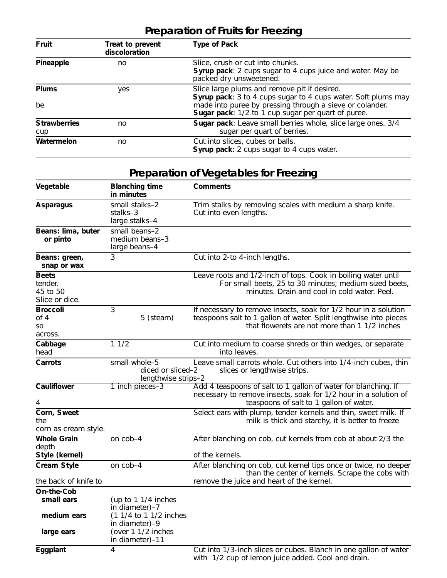# **Preparation of Fruits for Freezing**

| Fruit                      | Treat to prevent<br>discoloration | <b>Type of Pack</b>                                                                                                                                                                                                                      |
|----------------------------|-----------------------------------|------------------------------------------------------------------------------------------------------------------------------------------------------------------------------------------------------------------------------------------|
| Pineapple                  | no                                | Slice, crush or cut into chunks.<br><b>Syrup pack:</b> 2 cups sugar to 4 cups juice and water. May be<br>packed dry unsweetened.                                                                                                         |
| <b>Plums</b><br>be         | yes                               | Slice large plums and remove pit if desired.<br>Syrup pack: 3 to 4 cups sugar to 4 cups water. Soft plums may<br>made into puree by pressing through a sieve or colander.<br><b>Sugar pack:</b> $1/2$ to 1 cup sugar per quart of puree. |
| <b>Strawberries</b><br>cup | no                                | Sugar pack: Leave small berries whole, slice large ones. 3/4<br>sugar per quart of berries.                                                                                                                                              |
| Watermelon                 | no                                | Cut into slices, cubes or balls.<br><b>Syrup pack:</b> 2 cups sugar to 4 cups water.                                                                                                                                                     |

# **Preparation of Vegetables for Freezing**

| Vegetable                                             | <b>Blanching time</b><br>in minutes                                                                                                                          | <b>Comments</b>                                                                                                                                                                                  |
|-------------------------------------------------------|--------------------------------------------------------------------------------------------------------------------------------------------------------------|--------------------------------------------------------------------------------------------------------------------------------------------------------------------------------------------------|
| <b>Asparagus</b>                                      | small stalks-2<br>stalks-3<br>large stalks-4                                                                                                                 | Trim stalks by removing scales with medium a sharp knife.<br>Cut into even lengths.                                                                                                              |
| <b>Beans: lima, buter</b><br>or pinto                 | small beans-2<br>medium beans-3<br>large beans-4                                                                                                             |                                                                                                                                                                                                  |
| Beans: green,<br>snap or wax                          | 3                                                                                                                                                            | Cut into 2-to 4-inch lengths.                                                                                                                                                                    |
| <b>Beets</b><br>tender.<br>45 to 50<br>Slice or dice. |                                                                                                                                                              | Leave roots and 1/2-inch of tops. Cook in boiling water until<br>For small beets, 25 to 30 minutes; medium sized beets,<br>minutes. Drain and cool in cold water. Peel.                          |
| <b>Broccoli</b><br>of 4<br>SO<br>across.              | 3<br>5 (steam)                                                                                                                                               | If necessary to remove insects, soak for $1/2$ hour in a solution<br>teaspoons salt to 1 gallon of water. Split lengthwise into pieces<br>that flowerets are not more than $1\frac{1}{2}$ inches |
| Cabbage<br>head                                       | 11/2                                                                                                                                                         | Cut into medium to coarse shreds or thin wedges, or separate<br>into leaves.                                                                                                                     |
| <b>Carrots</b>                                        | Leave small carrots whole. Cut others into 1/4-inch cubes, thin<br>small whole-5<br>diced or sliced-2<br>slices or lengthwise strips.<br>lengthwise strips-2 |                                                                                                                                                                                                  |
| <b>Cauliflower</b><br>4                               | 1 inch pieces-3                                                                                                                                              | Add 4 teaspoons of salt to 1 gallon of water for blanching. If<br>necessary to remove insects, soak for 1/2 hour in a solution of<br>teaspoons of salt to 1 gallon of water.                     |
| <b>Corn, Sweet</b><br>the<br>corn as cream style.     |                                                                                                                                                              | Select ears with plump, tender kernels and thin, sweet milk. If<br>milk is thick and starchy, it is better to freeze                                                                             |
| <b>Whole Grain</b><br>depth<br><b>Style (kernel)</b>  | on cob-4                                                                                                                                                     | After blanching on cob, cut kernels from cob at about 2/3 the<br>of the kernels.                                                                                                                 |
| <b>Cream Style</b>                                    | on cob-4                                                                                                                                                     | After blanching on cob, cut kernel tips once or twice, no deeper<br>than the center of kernels. Scrape the cobs with                                                                             |
| the back of knife to                                  |                                                                                                                                                              | remove the juice and heart of the kernel.                                                                                                                                                        |
| <b>On-the-Cob</b><br>small ears                       | (up to $1\frac{1}{4}$ inches<br>in diameter)-7                                                                                                               |                                                                                                                                                                                                  |
| medium ears<br>large ears                             | $(11/4$ to $11/2$ inches<br>in diameter)-9<br>(over $11/2$ inches<br>in diameter $)-11$                                                                      |                                                                                                                                                                                                  |
| <b>Eggplant</b>                                       | 4                                                                                                                                                            | Cut into 1/3-inch slices or cubes. Blanch in one gallon of water<br>with 1/2 cup of lemon juice added. Cool and drain.                                                                           |